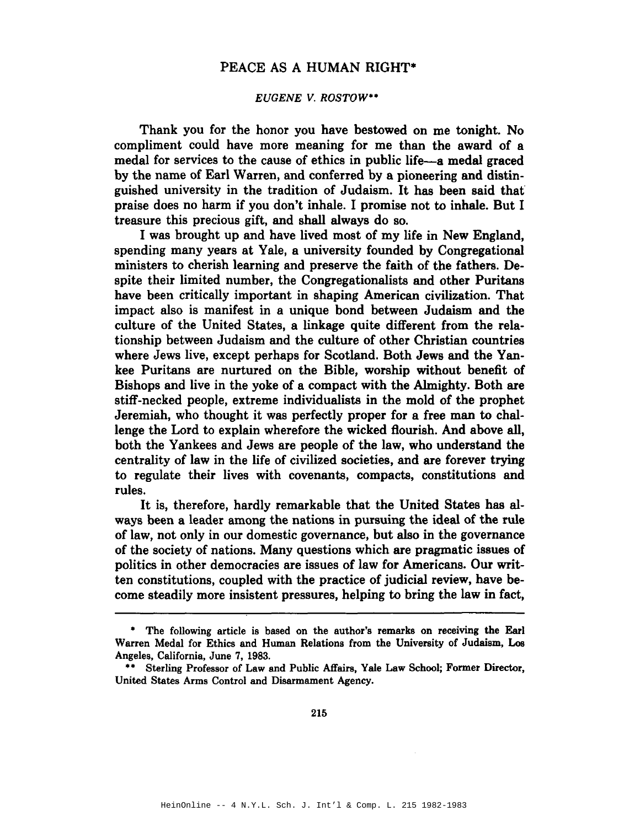## PEACE AS A HUMAN RIGHT\*

## *EUGENE V. ROSTOW··*

Thank you for the honor you have bestowed on me tonight. No compliment could have more meaning for me than the award of a medal for services to the cause of ethics in public life-a medal graced by the name of Earl Warren, and conferred by a pioneering and distinguished university in the tradition of Judaism. It has been said that" praise does no harm if you don't inhale. I promise not to inhale. But I treasure this precious gift, and shall always do so.

I was brought up and have lived most of my life in New England, spending many years at Yale, a university founded by Congregational ministers to cherish learning and preserve the faith of the fathers. Despite their limited number, the Congregationalists and other Puritans have been critically important in shaping American civilization. That impact also is manifest in a unique bond between Judaism and the culture of the United States, a linkage quite different from the relationship between Judaism and the culture of other Christian countries where Jews live, except perhaps for Scotland. Both Jews and the Yankee Puritans are nurtured on the Bible, worship without benefit of Bishops and live in the yoke of a compact with the Almighty. Both are stiff-necked people, extreme individualists in the mold of the prophet Jeremiah, who thought it was perfectly proper for a free man to challenge the Lord to explain wherefore the wicked flourish. And above all, both the Yankees and Jews are people of the law, who understand the centrality of law in the life of civilized societies, and are forever trying to regulate their lives with covenants, compacts, constitutions and rules.

It is, therefore, hardly remarkable that the United States has always been a leader among the nations in pursuing the ideal of the rule of law, not only in our domestic governance, but also in the governance of the society of nations. Many questions which are pragmatic issues of politics in other democracies are issues of law for Americans. Our written constitutions, coupled with the practice of judicial review, have become steadily more insistent pressures, helping to bring the law in fact,

<sup>•</sup> The following article is based on the author's remarks on receiving the Earl Warren Medal for Ethics and Human Relations from the University of Judaism, Los Angeles, California, June 7, 1983.

<sup>••</sup> Sterling Professor of Law and Public Affairs, Yale Law School; Former Director, United States Arms Control and Disarmament Agency.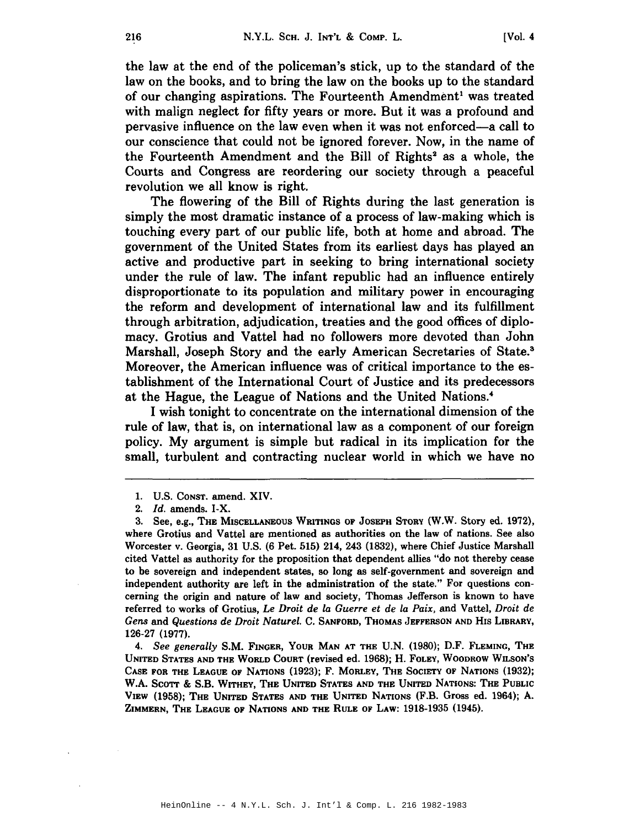the law at the end of the policeman's stick, up to the standard of the law on the books, and to bring the law on the books up to the standard of our changing aspirations. The Fourteenth Amendment<sup>1</sup> was treated with malign neglect for fifty years or more. But it was a profound and pervasive influence on the law even when it was not enforced-a call to our conscience that could not be ignored forever. Now, in the name of the Fourteenth Amendment and the Bill of Rights<sup>2</sup> as a whole, the Courts and Congress are reordering our society through a peaceful revolution we all know is right.

The flowering of the Bill of Rights during the last generation is simply the most dramatic instance of a process of law-making which is touching every part of our public life, both at home and abroad. The government of the United States from its earliest days has played an active and productive part in seeking to bring international society under the rule of law. The infant republic had an influence entirely disproportionate to its population and military power in encouraging the reform and development of international law and its fulfillment through arbitration, adjudication, treaties and the good offices of diplomacy. Grotius and Vattel had no followers more devoted than John Marshall, Joseph Story and the early American Secretaries of State.3 Moreover, the American influence was of critical importance to the establishment of the International Court of Justice and its predecessors at the Hague, the League of Nations and the United Nations.<sup>4</sup>

I wish tonight to concentrate on the international dimension of the rule of law, that is, on international law as a component of our foreign policy. My argument is simple but radical in its implication for the small, turbulent and contracting nuclear world in which we have no

*4. See generally* S.M. FINGER, YOUR MAN AT THE U.N. (1980); D.F. FLEMING, THE UNITED STATES AND THE WORLD COURT (revised ed. 1968); H. FOLEY, WOODROW WILSON'S CASE FOR THE LEAGUE OF NATIONS (1923); F. MORLEY, THE SOCIETY OF NATIONS (1932); W.A. SCOTT & S.B. WITHEY, THE UNITED STATES AND THE UNITED NATIONS: THE PUBLIC VIEW (1958); THE UNITED STATES AND THE UNITED NATIONS (F.B. Gross ed. 1964); A. ZIMMERN, THE LEAGUE OF NATIONS AND THE RULE OF LAW: 1918-1935 (1945).

<sup>1.</sup> U.S. CONST. amend. XIV.

*<sup>2.</sup> [d.* amends. I-X.

<sup>3.</sup> See, e.g., THE MISCELLANEOUS WRITINGS OF JOSEPH STORY (W.W. Story ed. 1972), where Grotius and Vattel are mentioned as authorities on the law of nations. See also Worcester V. Georgia, 31 U.S. (6 Pet. 515) 214, 243 (1832), where Chief Justice Marshall cited Vattel as authority for the proposition that dependent allies "do not thereby cease to be sovereign and independent states, so long as self-government and sovereign and independent authority are left in the administration of the state." For questions concerning the origin and nature of law and society, Thomas Jefferson is known to have referred to works of Grotius, *Le Droit* de *la Guerre et* de *la Paix,* and Vattel, *Droit* de *Gens* and *Questions* de *Droit Naturel.* C. SANFORD, THOMAS JEFFERSON AND HIS LIBRARY, 126-27 (1977).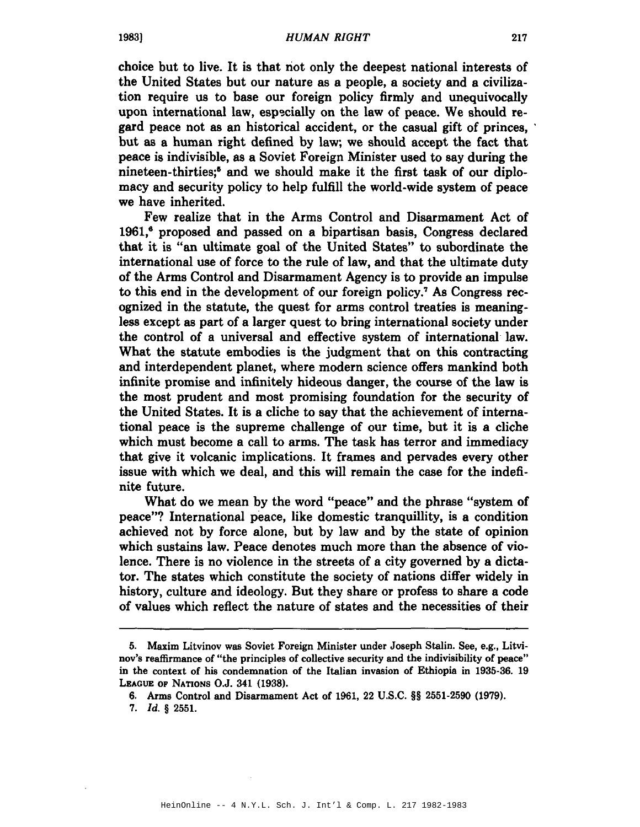## 1983J HUMAN RIGHT 217

choice but to live. It is that not only the deepest national interests of the United States but our nature as a people, a society and a civilization require us to base our foreign policy firmly and unequivocally upon international law, especially on the law of peace. We should regard peace not as an historical accident, or the casual gift of princes, . but as a human right defined by law; we should accept the fact that peace is indivisible, as a Soviet Foreign Minister used to say during the nineteen-thirties;<sup>6</sup> and we should make it the first task of our diplomacy and security policy to help fulfill the world-wide system of peace we have inherited.

Few realize that in the Arms Control and Disarmament Act of 1961,<sup>6</sup> proposed and passed on a bipartisan basis, Congress declared that it is "an ultimate goal of the United States" to subordinate the international use of force to the rule of law, and that the ultimate duty of the Arms Control and Disarmament Agency is to provide an impulse to this end in the development of our foreign policy.7 As Congress recognized in the statute, the quest for arms control treaties is meaningless except as part of a larger quest to bring international society under the control of a universal and effective system of international law. What the statute embodies is the judgment that on this contracting and interdependent planet, where modern science offers mankind both infinite promise and infinitely hideous danger, the course of the law is the most prudent and most promising foundation for the security of the United States. It is a cliche to say that the achievement of international peace is the supreme challenge of our time, but it is a cliche which must become a call to arms. The task has terror and immediacy that give it volcanic implications. It frames and pervades every other issue with which we deal, and this will remain the case for the indefinite future.

What do we mean by the word "peace" and the phrase "system of peace"? International peace, like domestic tranquillity, is a condition achieved not by force alone, but by law and by the state of opinion which sustains law. Peace denotes much more than the absence of violence. There is no violence in the streets of a city governed by a dictator. The states which constitute the society of nations differ widely in history, culture and ideology. But they share or profess to share a code of values which reflect the nature of states and the necessities of their

<sup>5.</sup> Maxim Litvinov was Soviet Foreign Minister under Joseph Stalin. See, e.g., Litvinov's reaffirmance of "the principles of collective security and the indivisibility of peace" in the context of his condemnation of the Italian invasion of Ethiopia in 1935-36. 19 LEAGUE OF NATIONS O.J. 341 (1938).

<sup>6.</sup> Arms Control and Disarmament Act of 1961, 22 U.S.C. §§ 2551-2590 (1979).

*<sup>7.</sup> [d.* § 2551.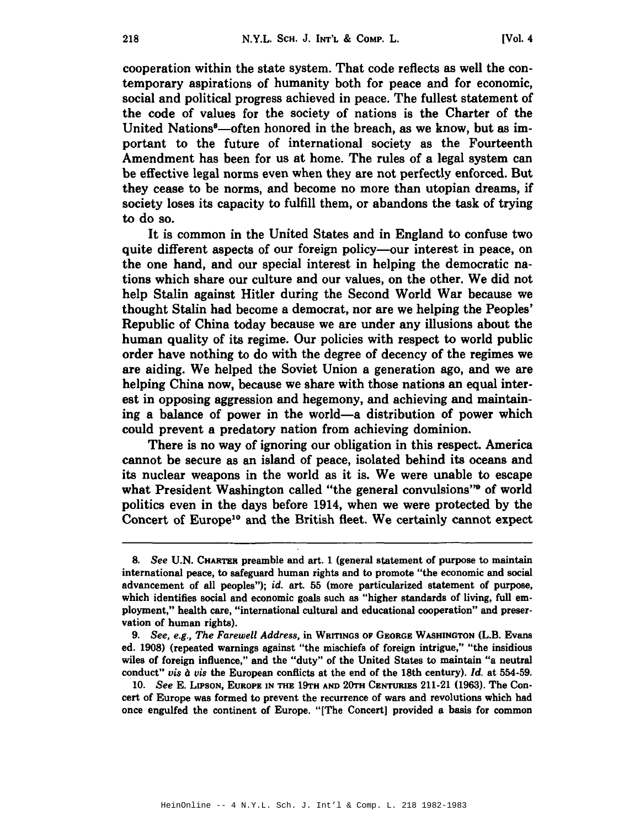cooperation within the state system. That code reflects as well the contemporary aspirations of humanity both for peace and for economic, social and political progress achieved in peace. The fullest statement of the code of values for the society of nations is the Charter of the United Nations<sup>8</sup>—often honored in the breach, as we know, but as important to the future of international society as the Fourteenth Amendment has been for us at home. The rules of a legal system can be effective legal norms even when they are not perfectly enforced. But they cease to be norms, and become no more than utopian dreams, if society loses its capacity to fulfill them, or abandons the task of trying to do so.

It is common in the United States and in England to confuse two quite different aspects of our foreign policy-our interest in peace, on the one hand, and our special interest in helping the democratic nations which share our culture and our values, on the other. We did not help Stalin against Hitler during the Second World War because we thought Stalin had become a democrat, nor are we helping the Peoples' Republic of China today because we are under any illusions about the human quality of its regime. Our policies with respect to world public order have nothing to do with the degree of decency of the regimes we are aiding. We helped the Soviet Union a generation ago, and we are helping China now, because we share with those nations an equal interest in opposing aggression and hegemony, and achieving and maintaining a balance of power in the world-a distribution of power which could prevent a predatory nation from achieving dominion.

There is no way of ignoring our obligation in this respect. America cannot be secure as an island of peace, isolated behind its oceans and its nuclear weapons in the world as it is. We were unable to escape what President Washington called "the general convulsions" of world politics even in the days before 1914, when we were protected by the Concert of Europe<sup>10</sup> and the British fleet. We certainly cannot expect

*<sup>8.</sup> See* U.N. CHARTER preamble and art. 1 (general statement of purpose to maintain international peace, to safeguard human rights and to promote "the economic and social advancement of all peoples"); id. art. 55 (more particularized statement of purpose, which identifies social and economic goals such as "higher standards of living, full employment," health care, "international cultural and educational cooperation" and preservation of human rights).

*<sup>9.</sup> See, e.g., The Farewell Address,* in WRITINGS OF GEORGE WASHINGTON (L.B. Evans ed. 1908) (repeated warnings against "the mischiefs of foreign intrigue," "the insidious wiles of foreign influence," and the "duty" of the United States to maintain "a neutral conduct" *vis* à *vis* the European conflicts at the end of the 18th century). Id. at 554-59.

*<sup>10.</sup> See* E. LIPSON, EUROPE IN THE 19TH AND 20TH CENTURIES 211-21 (1963). The Concert of Europe was formed to prevent the recurrence of wars and revolutions which had once engulfed the continent of Europe. "[The Concert) provided a basis for common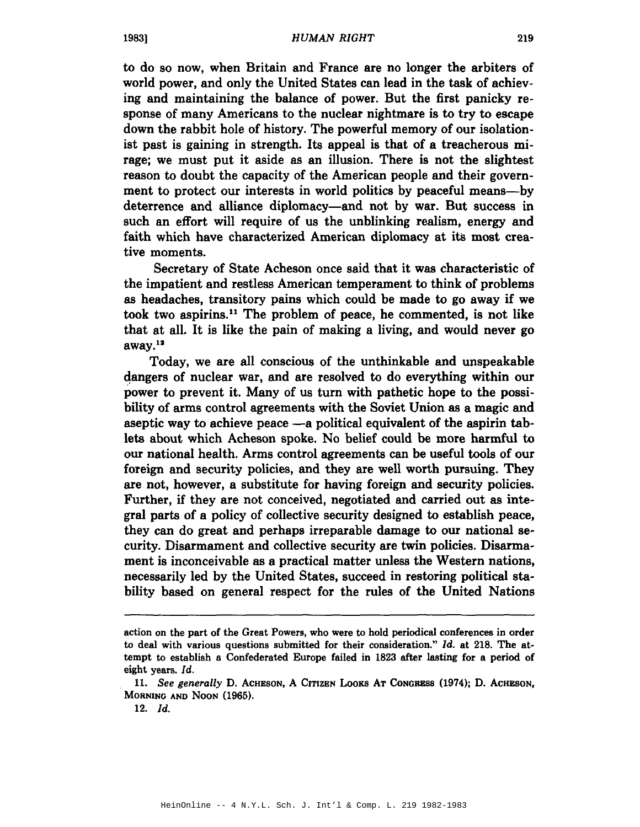to do so now, when Britain and France are no longer the arbiters of world power, and only the United States can lead in the task of achieving and maintaining the balance of power. But the first panicky response of many Americans to the nuclear nightmare is to try to escape down the rabbit hole of history. The powerful memory of our isolationist past is gaining in strength. Its appeal is that of a treacherous mirage; we must put it aside as an illusion. There is not the slightest reason to doubt the capacity of the American people and their government to protect our interests in world politics by peaceful means-by deterrence and alliance diplomacy-and not by war. But success in such an effort will require of us the unblinking realism, energy and faith which have characterized American diplomacy at its most creative moments.

Secretary of State Acheson once said that it was characteristic of the impatient and restless American temperament to think of problems as headaches, transitory pains which could be made to go away if we took two aspirins.<sup>11</sup> The problem of peace, he commented, is not like that at all. It is like the pain of making a living, and would never go  $a$ way. $12$ 

Today, we are all conscious of the unthinkable and unspeakable dangers of nuclear war, and are resolved to do everything within our power to prevent it. Many of us turn with pathetic hope to the possibility of arms control agreements with the Soviet Union as a magic and aseptic way to achieve peace -- a political equivalent of the aspirin tablets about which Acheson spoke. No belief could be more harmful to our national health. Arms control agreements can be useful tools of our foreign and security policies, and they are well worth pursuing. They are not, however, a substitute for having foreign and security policies. Further, if they are not conceived, negotiated and carried out as integral parts of a policy of collective security designed to establish peace, they can do great and perhaps irreparable damage to our national security. Disarmament and collective security are twin policies. Disarmament is inconceivable as a practical matter unless the Western nations, necessarily led by the United States, succeed in restoring political stability based on general respect for the rules of the United Nations

action on the part of the Great Powers. who were to hold periodical conferences in order to deal with various questions submitted for their consideration." *ld.* at 218. The at· tempt to establish a Confederated Europe failed in 1823 after lasting for a period of eight years. *ld.*

*<sup>11.</sup> See generally* D. ACHESON. A CITIZEN LOOKS AT CONGRESS (1974); D. ACHESON. MORNING AND NOON (1965).

*<sup>12.</sup> ld.*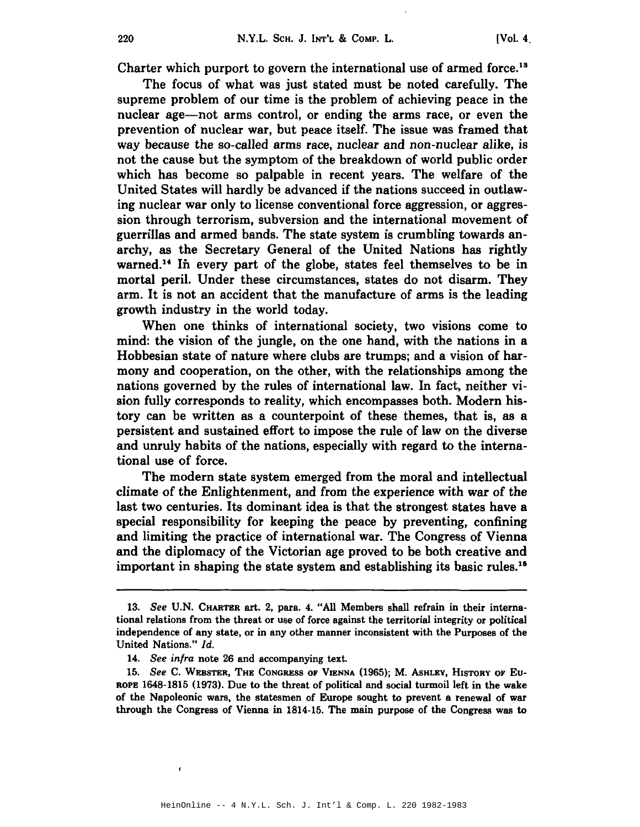Charter which purport to govern the international use of armed force.<sup>13</sup>

The focus of what was just stated must be noted carefully. The supreme problem of our time is the problem of achieving peace in the nuclear age—not arms control, or ending the arms race, or even the prevention of nuclear war, but peace itself. The issue was framed that way because the so-called arms race, nuclear and non-nuclear alike, is not the cause but the symptom of the breakdown of world public order which has become so palpable in recent years. The welfare of the United States will hardly be advanced if the nations succeed in outlawing nuclear war only to license conventional force aggression, or aggression through terrorism, subversion and the international movement of guerrillas and armed bands. The state system is crumbling towards anarchy, as the Secretary General of the United Nations has rightly warned.<sup>14</sup> In every part of the globe, states feel themselves to be in mortal peril. Under these circumstances, states do not disarm. They arm. It is not an accident that the manufacture of arms is the leading growth industry in the world today.

When one thinks of international society, two visions come to mind: the vision of the jungle, on the one hand, with the nations in a Hobbesian state of nature where clubs are trumps; and a vision of harmony and cooperation, on the other, with the relationships among the nations governed by the rules of international law. In fact, neither vision fully corresponds to reality, which encompasses both. Modern history can be written as a counterpoint of these themes, that is, as a persistent and sustained effort to impose the rule of law on the diverse and unruly habits of the nations, especially with regard to the international use of force.

The modern state system emerged from the moral and intellectual climate of the Enlightenment, and from the experience with war of the last two centuries. Its dominant idea is that the strongest states have a special responsibility for keeping the peace by preventing, confining and limiting the practice of international war. The Congress of Vienna and the diplomacy of the Victorian age proved to be both creative and important in shaping the state system and establishing its basic rules.<sup>15</sup>

 $\epsilon$ 

*<sup>13.</sup> See* U.N. CHARTER art. 2, para. 4. "All Members shall refrain in their international relations from the threat or use of force against the territorial integrity or political independence of any state, or in any other manner inconsistent with the Purposes of the United Nations." *Id.*

*<sup>14.</sup> See infra* note 26 and accompanying text.

*<sup>15.</sup> See* C. WEBSTER, THE CONGRESS OF VIENNA (1965); M. ASHLEY, HISTORY OF Eu-ROPE 1648-1815 (1973). Due to the threat of political and social turmoil left in the wake of the Napoleonic wars, the statesmen of Europe sought to prevent a renewal of war through the Congress of Vienna in 1814-15. The main purpose of the Congress was to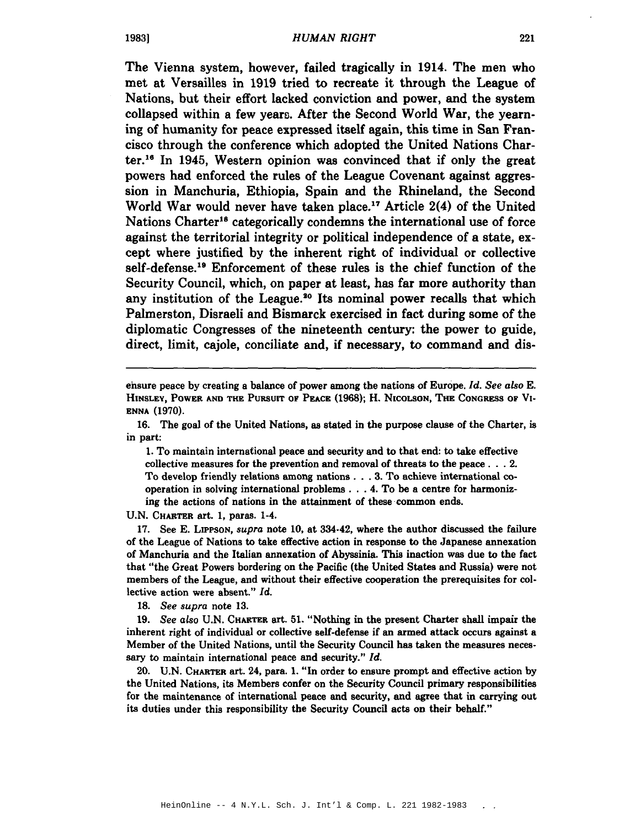The Vienna system, however, failed tragically in 1914. The men who met at Versailles in 1919 tried to recreate it through the League of Nations, but their effort lacked conviction and power, and the system collapsed within a few years. After the Second World War, the yearning of humanity for peace expressed itself again, this time in San Francisco through the conference which adopted the United Nations Charter.<sup>16</sup> In 1945, Western opinion was convinced that if only the great powers had enforced the rules of the League Covenant against aggression in Manchuria, Ethiopia, Spain and the Rhineland, the Second World War would never have taken place.<sup>17</sup> Article 2(4) of the United Nations Charter<sup>18</sup> categorically condemns the international use of force against the territorial integrity or political independence of a state, except where justified by the inherent right of individual or collective self-defense.<sup>19</sup> Enforcement of these rules is the chief function of the Security Council, which, on paper at least, has far more authority than any institution of the League.<sup>30</sup> Its nominal power recalls that which Palmerston, Disraeli and Bismarck exercised in fact during some of the diplomatic Congresses of the nineteenth century: the power to guide, direct, limit, cajole, conciliate and, if necessary, to command and dis-

1. To maintain international peace and security and to that end: to take effective collective measures for the prevention and removal of threats to the peace. . . 2. To develop friendly relations among nations . . . 3. To achieve international cooperation in solving international problems. . . 4. To be a centre for harmonizing the actions of nations in the attainment of these common ends.

U.N. CHARTER art. 1, paras. 1-4.

17. See E. LIPPSON, *supra* note 10, at 334-42, where the author discussed the failure of the League of Nations to take effective action in response to the Japanese annexation of Manchuria and the Italian annexation of Abyssinia. This inaction was due to the fact that "the Great Powers bordering on the Pacific (the United States and Russia) were not members of the League, and without their effective cooperation the prerequisites for collective action were absent." *Id.*

18. *See supra* note 13.

19. *See also* U.N. CHARTER art. 51. "Nothing in the present Charter shall impair the inherent right of individual or collective self-defense if an armed attack occurs against a Member of the United Nations, until the Security Council has taken the measures necessary to maintain international peace and security." *Id.*

20. U.N. CHARTER art. 24, para. 1. "In order to ensure prompt and effective action by the United Nations, its Members confer on the Security Council primary responsibilities for the maintenance of international peace and security, and agree that in carrying out its duties under this responsibility the Security Council acts on their behalf."

ensure peace by creating a balance of power among the nations of Europe. *[d. See also* E. HINSLEY, POWER AND THE PURSUIT OF PEACE (1968); H. NICOLSON, THE CONGRESS OF VI-ENNA (1970).

<sup>16.</sup> The goal of the United Nations, as stated in the purpose clause of the Charter, is in part: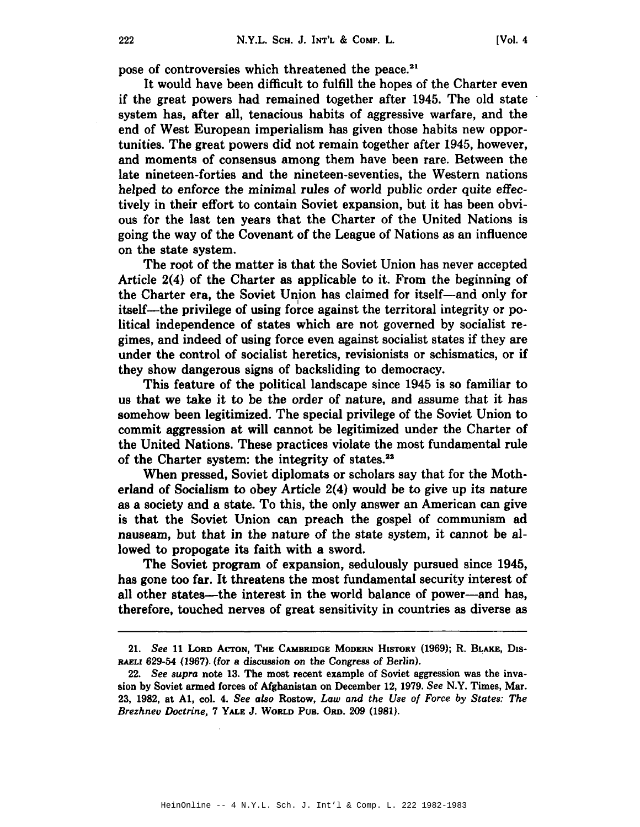pose of controversies which threatened the peace.<sup>21</sup>

It would have been difficult to fulfill the hopes of the Charter even if the great powers had remained together after 1945. The old state system has, after all, tenacious habits of aggressive warfare, and the end of West European imperialism has given those habits new opportunities. The great powers did not remain together after 1945, however, and moments of consensus among them have been rare. Between the late nineteen-forties and the nineteen-seventies, the Western nations helped to enforce the minimal rules of world public order quite effectively in their effort to contain Soviet expansion, but it has been obvious for the last ten years that the Charter of the United Nations is going the way of the Covenant of the League of Nations as an influence on the state system.

The root of the matter is that the Soviet Union has never accepted Article 2(4) of the Charter as applicable to it. From the beginning of the Charter era, the Soviet Union has claimed for itself-and only for itself—the privilege of using force against the territoral integrity or political independence of states which are not governed by socialist regimes, and indeed of using force even against socialist states if they are under the control of socialist heretics, revisionists or schismatics, or if they show dangerous signs of backsliding to democracy.

This feature of the political landscape since 1945 is so familiar to us that we take it to be the order of nature, and assume that it has somehow been legitimized. The special privilege of the Soviet Union to commit aggression at will cannot be legitimized under the Charter of the United Nations. These practices violate the most fundamental rule of the Charter system: the integrity of states.22

When pressed, Soviet diplomats or scholars say that for the Motherland of Socialism to obey Article 2(4) would be to give up its nature as a society and a state. To this, the only answer an American can give is that the Soviet Union can preach the gospel of communism ad nauseam, but that in the nature of the state system, it cannot be allowed to propogate its faith with a sword.

The Soviet program of expansion, sedulously pursued since 1945, has gone too far. It threatens the most fundamental security interest of all other states—the interest in the world balance of power—and has, therefore, touched nerves of great sensitivity in countries as diverse as

<sup>21.</sup> *See* 11 LoRD ACTON, THE CAMBRIDGE MODERN HISTORY (1969); R. BLAKE, Dls-RAELI 629-54 (1967). (for a discussion on the Congress of Berlin).

*<sup>22.</sup> See supra* note 13. The most recent example of Soviet aggression was the invasion by Soviet armed forces of Afghanistan on December 12,1979. *See* N.Y. Times, Mar. 23, 1982, at AI, col. 4. *See also* Rostow, *Law and the Use of Force by States: The Brezhneu Doctrine,* 7 YALE J. WORLD PUB. ORD. 209 (1981).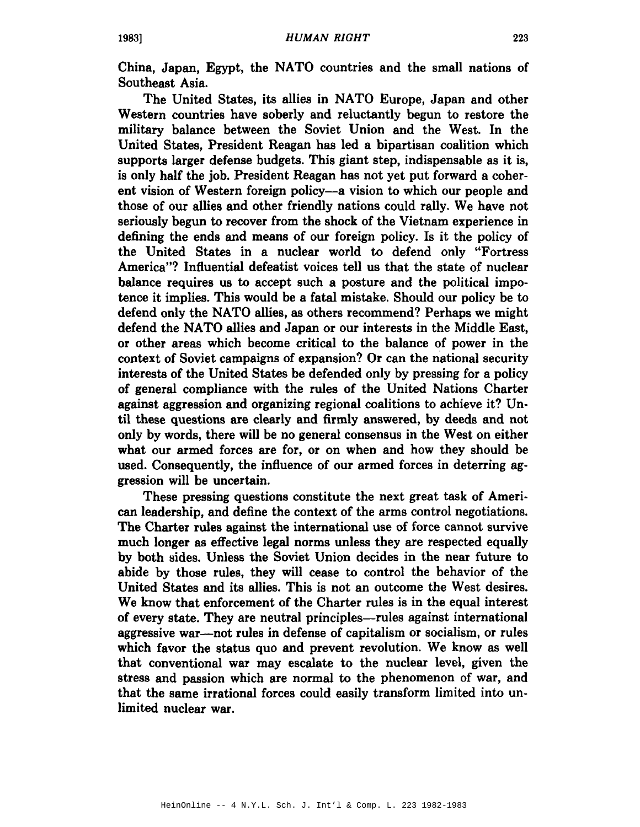China, Japan, Egypt, the NATO countries and the small nations of Southeast Asia.

The United States, its allies in NATO Europe, Japan and other Western countries have soberly and reluctantly begun to restore the military balance between the Soviet Union and the West. In the United States, President Reagan has led a bipartisan coalition which supports larger defense budgets. This giant step, indispensable as it is, is only half the job. President Reagan has not yet put forward a coherent vision of Western foreign policy—a vision to which our people and those of our allies and other friendly nations could rally. We have not seriously begun to recover from the shock of the Vietnam experience in defining the ends and means of our foreign policy. Is it the policy of the United States in a nuclear world to defend only "Fortress America"? Influential defeatist voices tell us that the state of nuclear balance requires us to accept such a posture and the political impotence it implies. This would be a fatal mistake. Should our policy be to defend only the NATO allies, as others recommend? Perhaps we might defend the NATO allies and Japan or our interests in the Middle East, or other areas which become critical to the balance of power in the context of Soviet campaigns of expansion? Or can the national security interests of the United States be defended only by pressing for a policy of general compliance with the rules of the United Nations Charter against aggression and organizing regional coalitions to achieve it? Until these questions are clearly and firmly answered, by deeds and not only by words, there will be no general consensus in the West on either what our armed forces are for, or on when and how they should be used. Consequently, the influence of our armed forces in deterring aggression will be uncertain.

These pressing questions constitute the next great task of American leadership, and define the context of the arms control negotiations. The Charter rules against the international use of force cannot survive much longer as effective legal norms unless they are respected equally by both sides. Unless the Soviet Union decides in the near future to abide by those rules, they will cease to control the behavior of the United States and its allies. This is not an outcome the West desires. We know that enforcement of the Charter rules is in the equal interest of every state. They are neutral principles-rules against international aggressive war—not rules in defense of capitalism or socialism, or rules which favor the status quo and prevent revolution. We know as well that conventional war may escalate to the nuclear level, given the stress and passion which are normal to the phenomenon of war, and that the same irrational forces could easily transform limited into unlimited nuclear war.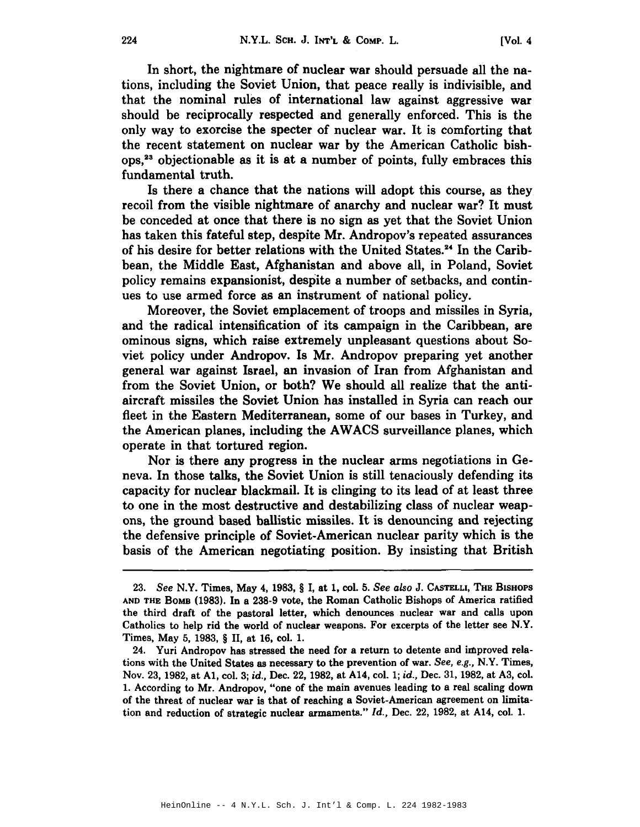In short, the nightmare of nuclear war should persuade all the nations, including the Soviet Union, that peace really is indivisible, and that the nominal rules of international law against aggressive war should be reciprocally respected and generally enforced. This is the only way to exorcise the specter of nuclear war. It is comforting that the recent statement on nuclear war by the American Catholic bishops,<sup>23</sup> objectionable as it is at a number of points, fully embraces this fundamental truth.

Is there a chance that the nations will adopt this course, as they recoil from the visible nightmare of anarchy and nuclear war? It must be conceded at once that there is no sign as yet that the Soviet Union has taken this fateful step, despite Mr. Andropov's repeated assurances of his desire for better relations with the United States.<sup>24</sup> In the Caribbean, the Middle East, Afghanistan and above all, in Poland, Soviet policy remains expansionist, despite a number of setbacks, and continues to use armed force as an instrument of national policy.

Moreover, the Soviet emplacement of troops and missiles in Syria, and the radical intensification of its campaign in the Caribbean, are ominous signs, which raise extremely unpleasant questions about Soviet policy under Andropov. Is Mr. Andropov preparing yet another general war against Israel, an invasion of Iran from Afghanistan and from the Soviet Union, or both? We should all realize that the antiaircraft missiles the Soviet Union has installed in Syria can reach our fleet in the Eastern Mediterranean, some of our bases in Turkey, and the American planes, including the AWACS surveillance planes, which operate in that tortured region.

Nor is there any progress in the nuclear arms negotiations in Geneva. In those talks, the Soviet Union is still tenaciously defending its capacity for nuclear blackmail. It is clinging to its lead of at least three to one in the most destructive and destabilizing class of nuclear weapons, the ground based ballistic missiles. It is denouncing and rejecting the defensive principle of Soviet-American nuclear parity which is the basis of the American negotiating position. By insisting that British

*<sup>23.</sup> See* N.Y. Times, May 4,1983, § I, at I, col. 5. *See also* J. CASTELLI, THE BISHOPS AND THE BOMB (1983). In a 238-9 vote, the Roman Catholic Bishops of America ratified the third draft of the pastoral letter, which denounces nuclear war and calls upon Catholics to help rid the world of nuclear weapons. For excerpts of the letter see N.Y. Times, May 5, 1983, § II, at 16, col. 1.

<sup>24.</sup> Yuri Andropov has stressed the need for a return to detente and improved relations with the United States as necessary to the prevention of war. *See, e.g.,* N.Y. Times, Nov. 23, 1982, at AI, col. 3; id., Dec. 22, 1982, at A14, col. 1; id., Dec. 31, 1982, at A3, col. 1. According to Mr. Andropov, "one of the main avenues leading to a real scaling down of the threat of nuclear war is that of reaching a Soviet-American agreement on limitation and reduction of strategic nuclear armaments." Id., Dec. 22, 1982, at A14, col. 1.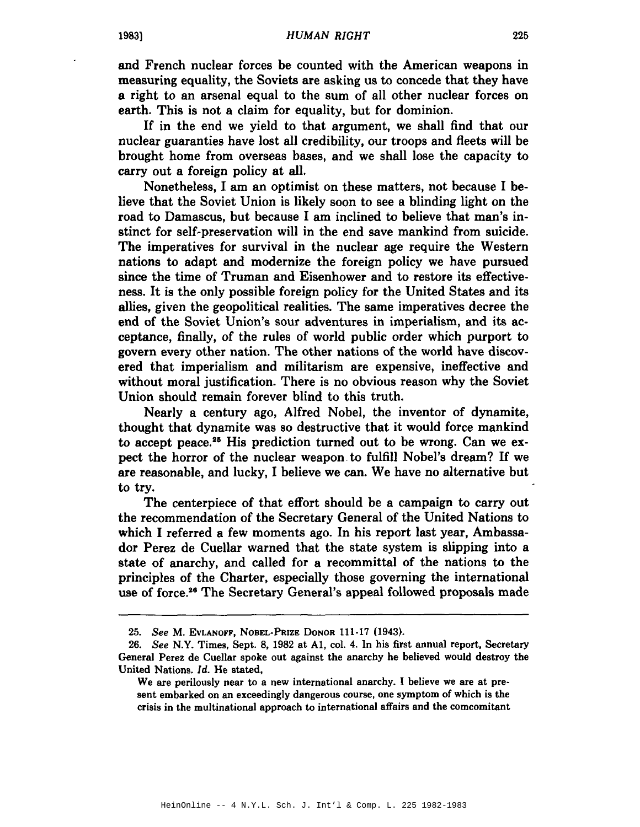and French nuclear forces be counted with the American weapons in measuring equality, the Soviets are asking us to concede that they have a right to an arsenal equal to the sum of all other nuclear forces on earth. This is not a claim for equality, but for dominion.

If in the end we yield to that argument, we shall find that our nuclear guaranties have lost all credibility, our troops and fleets will be brought home from overseas bases, and we shall lose the capacity to carry out a foreign policy at all.

Nonetheless, I am an optimist on these matters, not because I believe that the Soviet Union is likely soon to see a blinding light on the road to Damascus, but because I am inclined to believe that man's instinct for self-preservation will in the end save mankind from suicide. The imperatives for survival in the nuclear age require the Western nations to adapt and modernize the foreign policy we have pursued since the time of Truman and Eisenhower and to restore its effectiveness. It is the only possible foreign policy for the United States and its allies, given the geopolitical realities. The same imperatives decree the end of the Soviet Union's sour adventures in imperialism, and its acceptance, finally, of the rules of world public order which purport to govern every other nation. The other nations of the world have discovered that imperialism and militarism are expensive, ineffective and without moral justification. There is no obvious reason why the Soviet Union should remain forever blind to this truth.

Nearly a century ago, Alfred Nobel, the inventor of dynamite, thought that dynamite was so destructive that it would force mankind to accept peace.<sup>25</sup> His prediction turned out to be wrong. Can we expect the horror of the nuclear weapon. to fulfill Nobel's dream? If we are reasonable, and lucky, I believe we can. We have no alternative but to try.

The centerpiece of that effort should be a campaign to carry out the recommendation of the Secretary General of the United Nations to which I referred a few moments ago. In his report last year, Ambassador Perez de Cuellar warned that the state system is slipping into a state of anarchy, and called for a recommittal of the nations to the principles of the Charter, especially those governing the international use of force.<sup>26</sup> The Secretary General's appeal followed proposals made

*<sup>25.</sup> See* M. EVLANOFF, NOBEL-PRIZE DONOR 111-17 (1943).

*<sup>26.</sup> See* N.Y. Times, Sept. 8, 1982 at AI, col. 4. In his first annual report, Secretary General Perez de Cuellar spoke out against the anarchy he believed would destroy the United Nations. *Id.* He stated,

We are perilously near to a new international anarchy. I believe we are at present embarked on an exceedingly dangerous course, one symptom of which is the crisis in the multinational approach to international affairs and the comcomitant